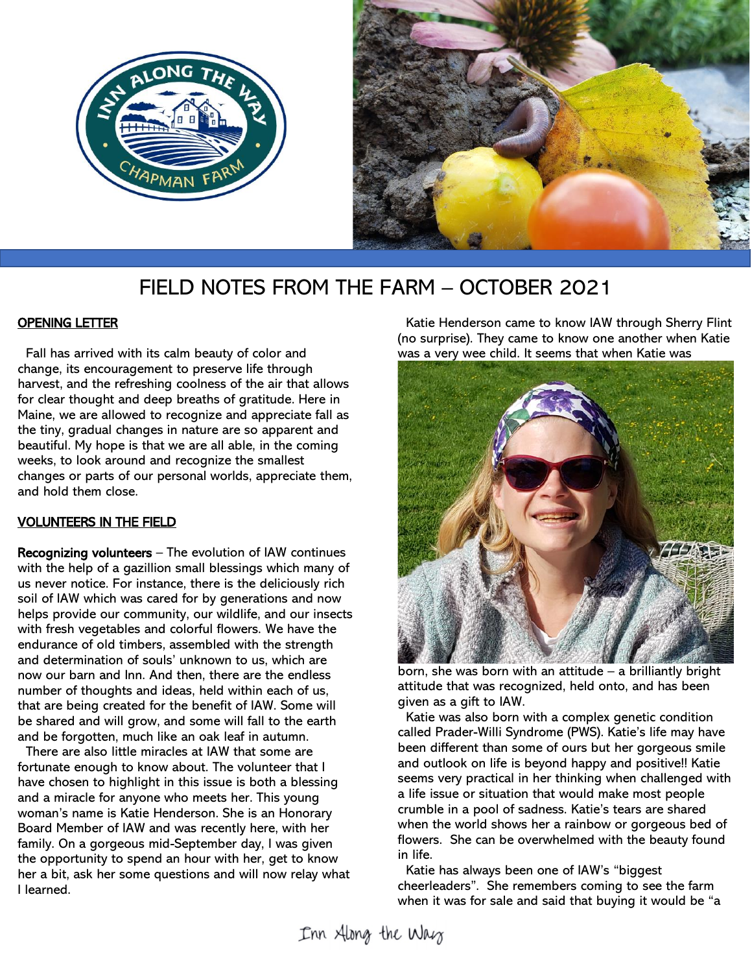



# FIELD NOTES FROM THE FARM – OCTOBER 2021

# **OPENING LETTER**

 Fall has arrived with its calm beauty of color and change, its encouragement to preserve life through harvest, and the refreshing coolness of the air that allows for clear thought and deep breaths of gratitude. Here in Maine, we are allowed to recognize and appreciate fall as the tiny, gradual changes in nature are so apparent and beautiful. My hope is that we are all able, in the coming weeks, to look around and recognize the smallest changes or parts of our personal worlds, appreciate them, and hold them close.

# VOLUNTEERS IN THE FIELD

Recognizing volunteers – The evolution of IAW continues with the help of a gazillion small blessings which many of us never notice. For instance, there is the deliciously rich soil of IAW which was cared for by generations and now helps provide our community, our wildlife, and our insects with fresh vegetables and colorful flowers. We have the endurance of old timbers, assembled with the strength and determination of souls' unknown to us, which are now our barn and Inn. And then, there are the endless number of thoughts and ideas, held within each of us, that are being created for the benefit of IAW. Some will be shared and will grow, and some will fall to the earth and be forgotten, much like an oak leaf in autumn.

 There are also little miracles at IAW that some are fortunate enough to know about. The volunteer that I have chosen to highlight in this issue is both a blessing and a miracle for anyone who meets her. This young woman's name is Katie Henderson. She is an Honorary Board Member of IAW and was recently here, with her family. On a gorgeous mid-September day, I was given the opportunity to spend an hour with her, get to know her a bit, ask her some questions and will now relay what I learned.

 Katie Henderson came to know IAW through Sherry Flint (no surprise). They came to know one another when Katie was a very wee child. It seems that when Katie was



born, she was born with an attitude – a brilliantly bright attitude that was recognized, held onto, and has been given as a gift to IAW.

 Katie was also born with a complex genetic condition called Prader-Willi Syndrome (PWS). Katie's life may have been different than some of ours but her gorgeous smile and outlook on life is beyond happy and positive!! Katie seems very practical in her thinking when challenged with a life issue or situation that would make most people crumble in a pool of sadness. Katie's tears are shared when the world shows her a rainbow or gorgeous bed of flowers. She can be overwhelmed with the beauty found in life.

 Katie has always been one of IAW's "biggest cheerleaders". She remembers coming to see the farm when it was for sale and said that buying it would be "a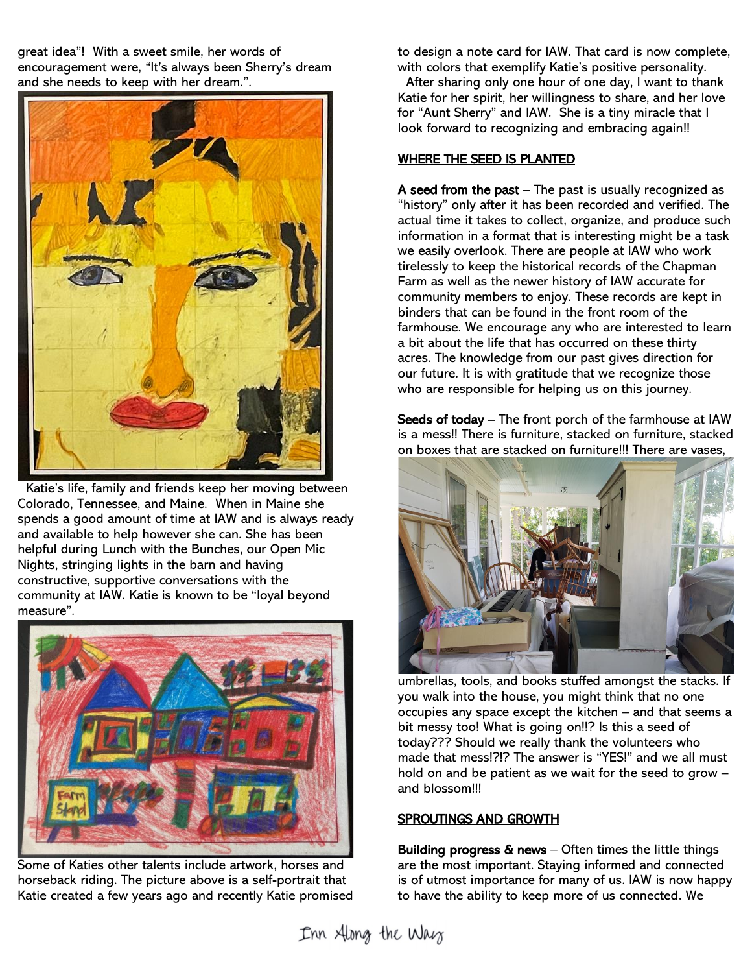great idea"! With a sweet smile, her words of encouragement were, "It's always been Sherry's dream and she needs to keep with her dream.".



 Katie's life, family and friends keep her moving between Colorado, Tennessee, and Maine. When in Maine she spends a good amount of time at IAW and is always ready and available to help however she can. She has been helpful during Lunch with the Bunches, our Open Mic Nights, stringing lights in the barn and having constructive, supportive conversations with the community at IAW. Katie is known to be "loyal beyond measure".



Some of Katies other talents include artwork, horses and horseback riding. The picture above is a self-portrait that Katie created a few years ago and recently Katie promised

to design a note card for IAW. That card is now complete, with colors that exemplify Katie's positive personality.

 After sharing only one hour of one day, I want to thank Katie for her spirit, her willingness to share, and her love for "Aunt Sherry" and IAW. She is a tiny miracle that I look forward to recognizing and embracing again!!

#### WHERE THE SEED IS PLANTED

A seed from the past  $-$  The past is usually recognized as "history" only after it has been recorded and verified. The actual time it takes to collect, organize, and produce such information in a format that is interesting might be a task we easily overlook. There are people at IAW who work tirelessly to keep the historical records of the Chapman Farm as well as the newer history of IAW accurate for community members to enjoy. These records are kept in binders that can be found in the front room of the farmhouse. We encourage any who are interested to learn a bit about the life that has occurred on these thirty acres. The knowledge from our past gives direction for our future. It is with gratitude that we recognize those who are responsible for helping us on this journey.

Seeds of today - The front porch of the farmhouse at IAW is a mess!! There is furniture, stacked on furniture, stacked on boxes that are stacked on furniture!!! There are vases,



umbrellas, tools, and books stuffed amongst the stacks. If you walk into the house, you might think that no one occupies any space except the kitchen – and that seems a bit messy too! What is going on!!? Is this a seed of today??? Should we really thank the volunteers who made that mess!?!? The answer is "YES!" and we all must hold on and be patient as we wait for the seed to grow – and blossom!!!

# SPROUTINGS AND GROWTH

Building progress  $\&$  news – Often times the little things are the most important. Staying informed and connected is of utmost importance for many of us. IAW is now happy to have the ability to keep more of us connected. We

Inn Along the Way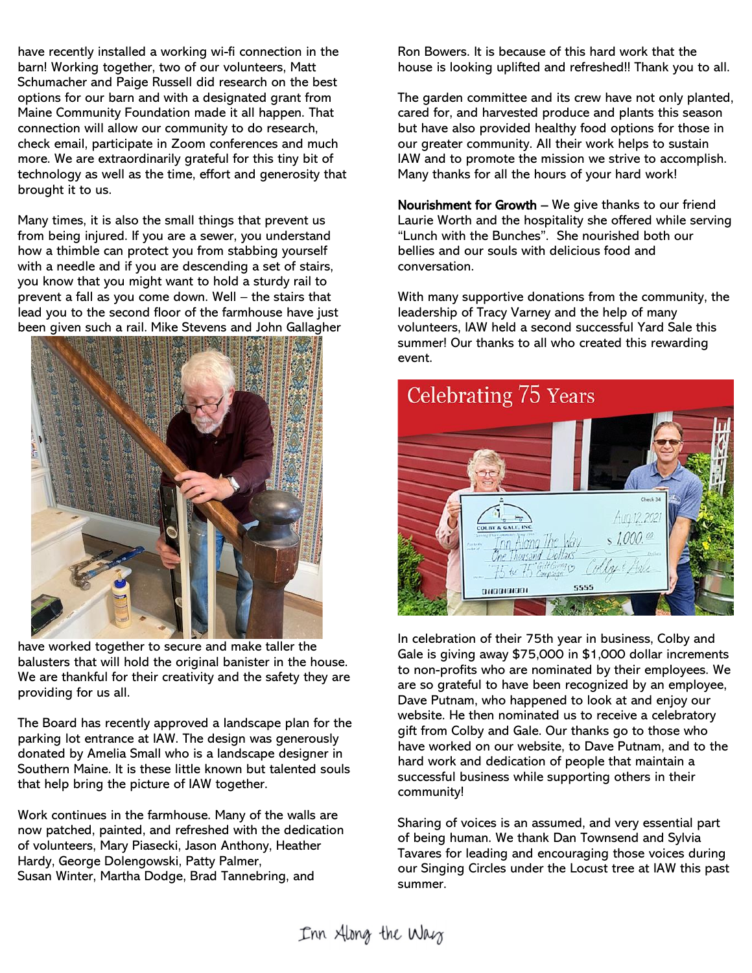have recently installed a working wi-fi connection in the barn! Working together, two of our volunteers, Matt Schumacher and Paige Russell did research on the best options for our barn and with a designated grant from Maine Community Foundation made it all happen. That connection will allow our community to do research, check email, participate in Zoom conferences and much more. We are extraordinarily grateful for this tiny bit of technology as well as the time, effort and generosity that brought it to us.

Many times, it is also the small things that prevent us from being injured. If you are a sewer, you understand how a thimble can protect you from stabbing yourself with a needle and if you are descending a set of stairs, you know that you might want to hold a sturdy rail to prevent a fall as you come down. Well – the stairs that lead you to the second floor of the farmhouse have just been given such a rail. Mike Stevens and John Gallagher



have worked together to secure and make taller the balusters that will hold the original banister in the house. We are thankful for their creativity and the safety they are providing for us all.

The Board has recently approved a landscape plan for the parking lot entrance at IAW. The design was generously donated by Amelia Small who is a landscape designer in Southern Maine. It is these little known but talented souls that help bring the picture of IAW together.

Work continues in the farmhouse. Many of the walls are now patched, painted, and refreshed with the dedication of volunteers, Mary Piasecki, Jason Anthony, Heather Hardy, George Dolengowski, Patty Palmer, Susan Winter, Martha Dodge, Brad Tannebring, and

Ron Bowers. It is because of this hard work that the house is looking uplifted and refreshed!! Thank you to all.

The garden committee and its crew have not only planted, cared for, and harvested produce and plants this season but have also provided healthy food options for those in our greater community. All their work helps to sustain IAW and to promote the mission we strive to accomplish. Many thanks for all the hours of your hard work!

Nourishment for Growth – We give thanks to our friend Laurie Worth and the hospitality she offered while serving "Lunch with the Bunches". She nourished both our bellies and our souls with delicious food and conversation.

With many supportive donations from the community, the leadership of Tracy Varney and the help of many volunteers, IAW held a second successful Yard Sale this summer! Our thanks to all who created this rewarding event.



In celebration of their 75th year in business, Colby and Gale is giving away \$75,000 in \$1,000 dollar increments to non-profits who are nominated by their employees. We are so grateful to have been recognized by an employee, Dave Putnam, who happened to look at and enjoy our website. He then nominated us to receive a celebratory gift from Colby and Gale. Our thanks go to those who have worked on our website, to Dave Putnam, and to the hard work and dedication of people that maintain a successful business while supporting others in their community!

Sharing of voices is an assumed, and very essential part of being human. We thank Dan Townsend and Sylvia Tavares for leading and encouraging those voices during our Singing Circles under the Locust tree at IAW this past summer.